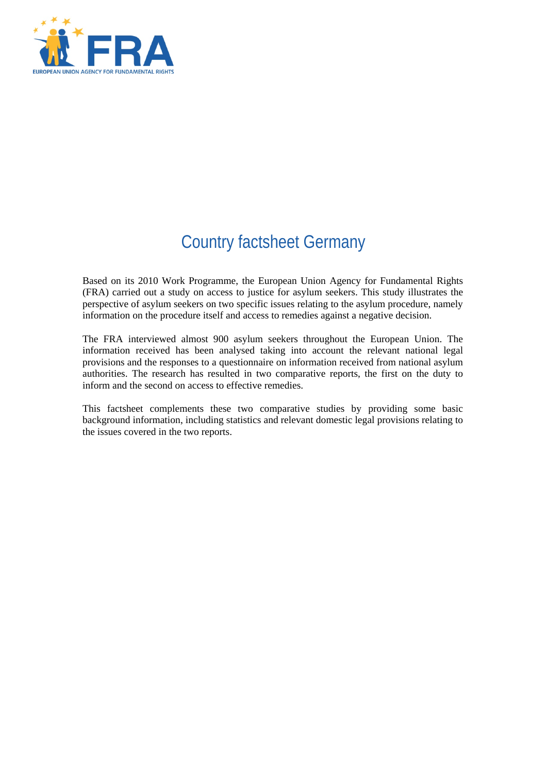

# Country factsheet Germany

Based on its 2010 Work Programme, the European Union Agency for Fundamental Rights (FRA) carried out a study on access to justice for asylum seekers. This study illustrates the perspective of asylum seekers on two specific issues relating to the asylum procedure, namely information on the procedure itself and access to remedies against a negative decision.

The FRA interviewed almost 900 asylum seekers throughout the European Union. The information received has been analysed taking into account the relevant national legal provisions and the responses to a questionnaire on information received from national asylum authorities. The research has resulted in two comparative reports, the first on the duty to inform and the second on access to effective remedies.

This factsheet complements these two comparative studies by providing some basic background information, including statistics and relevant domestic legal provisions relating to the issues covered in the two reports.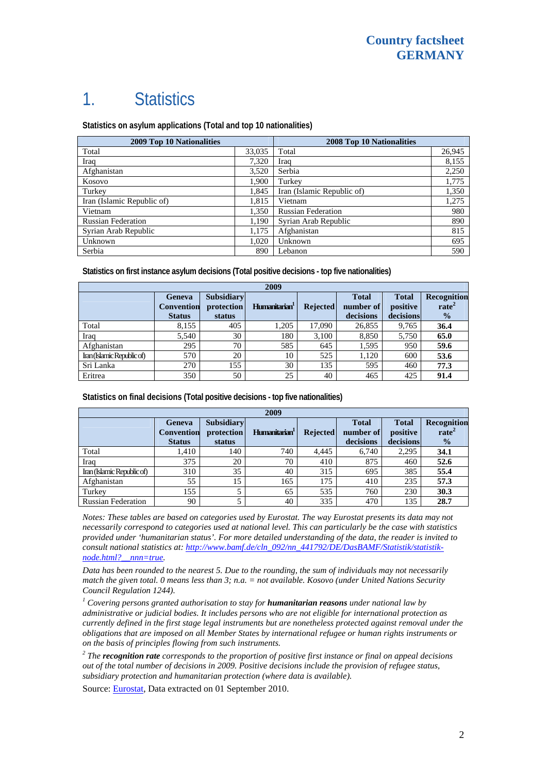## 1. Statistics

**Statistics on asylum applications (Total and top 10 nationalities)**

| 2009 Top 10 Nationalities  |        | 2008 Top 10 Nationalities  |        |  |
|----------------------------|--------|----------------------------|--------|--|
| Total                      | 33,035 | Total                      | 26,945 |  |
| Iraq                       | 7,320  | Iraq                       | 8,155  |  |
| Afghanistan                | 3,520  | Serbia                     | 2,250  |  |
| Kosovo                     | 1,900  | Turkey                     | 1,775  |  |
| Turkey                     | 1,845  | Iran (Islamic Republic of) | 1,350  |  |
| Iran (Islamic Republic of) | 1,815  | Vietnam                    | 1,275  |  |
| Vietnam                    | 1,350  | <b>Russian Federation</b>  | 980    |  |
| <b>Russian Federation</b>  | 1,190  | Syrian Arab Republic       | 890    |  |
| Syrian Arab Republic       | 1,175  | Afghanistan                | 815    |  |
| Unknown                    | 1.020  | Unknown                    | 695    |  |
| Serbia                     | 890    | Lebanon                    | 590    |  |

**Statistics on first instance asylum decisions (Total positive decisions - top five nationalities)**

| 2009                       |                                              |                                           |                           |                 |                                        |                                       |                                                   |
|----------------------------|----------------------------------------------|-------------------------------------------|---------------------------|-----------------|----------------------------------------|---------------------------------------|---------------------------------------------------|
|                            | Geneva<br><b>Convention</b><br><b>Status</b> | <b>Subsidiary</b><br>protection<br>status | Humanitarian <sup>1</sup> | <b>Rejected</b> | <b>Total</b><br>number of<br>decisions | <b>Total</b><br>positive<br>decisions | Recognition<br>rate <sup>2</sup><br>$\frac{0}{2}$ |
| Total                      | 8,155                                        | 405                                       | 1,205                     | 17,090          | 26,855                                 | 9,765                                 | 36.4                                              |
| Iraq                       | 5,540                                        | 30                                        | 180                       | 3,100           | 8,850                                  | 5,750                                 | 65.0                                              |
| Afghanistan                | 295                                          | 70                                        | 585                       | 645             | 1,595                                  | 950                                   | 59.6                                              |
| Iran (Islamic Republic of) | 570                                          | 20                                        | 10                        | 525             | 1,120                                  | 600                                   | 53.6                                              |
| Sri Lanka                  | 270                                          | 155                                       | 30                        | 135             | 595                                    | 460                                   | 77.3                                              |
| Eritrea                    | 350                                          | 50                                        | 25                        | 40              | 465                                    | 425                                   | 91.4                                              |

**Statistics on final decisions (Total positive decisions - top five nationalities)** 

| 2009                       |                                              |                                           |                           |                 |                                        |                                       |                                                   |
|----------------------------|----------------------------------------------|-------------------------------------------|---------------------------|-----------------|----------------------------------------|---------------------------------------|---------------------------------------------------|
|                            | Geneva<br><b>Convention</b><br><b>Status</b> | <b>Subsidiary</b><br>protection<br>status | Humanitarian <sup>1</sup> | <b>Rejected</b> | <b>Total</b><br>number of<br>decisions | <b>Total</b><br>positive<br>decisions | Recognition<br>rate <sup>2</sup><br>$\frac{0}{0}$ |
| Total                      | 1,410                                        | 140                                       | 740                       | 4.445           | 6,740                                  | 2,295                                 | 34.1                                              |
| Iraq                       | 375                                          | 20                                        | 70                        | 410             | 875                                    | 460                                   | 52.6                                              |
| Iran (Islamic Republic of) | 310                                          | 35                                        | 40                        | 315             | 695                                    | 385                                   | 55.4                                              |
| Afghanistan                | 55                                           | 15                                        | 165                       | 175             | 410                                    | 235                                   | 57.3                                              |
| Turkey                     | 155                                          |                                           | 65                        | 535             | 760                                    | 230                                   | 30.3                                              |
| <b>Russian Federation</b>  | 90                                           |                                           | 40                        | 335             | 470                                    | 135                                   | 28.7                                              |

*Notes: These tables are based on categories used by Eurostat. The way Eurostat presents its data may not necessarily correspond to categories used at national level. This can particularly be the case with statistics provided under 'humanitarian status'. For more detailed understanding of the data, the reader is invited to consult national statistics at: [http://www.bamf.de/cln\\_092/nn\\_441792/DE/DasBAMF/Statistik/statistik](http://www.bamf.de/cln_092/nn_441792/DE/DasBAMF/Statistik/statistik-node.html?__nnn=true)[node.html?\\_\\_nnn=true.](http://www.bamf.de/cln_092/nn_441792/DE/DasBAMF/Statistik/statistik-node.html?__nnn=true)* 

*Data has been rounded to the nearest 5. Due to the rounding, the sum of individuals may not necessarily match the given total. 0 means less than 3; n.a. = not available. Kosovo (under United Nations Security Council Regulation 1244).* 

<sup>1</sup> Covering persons granted authorisation to stay for **humanitarian reasons** under national law by *administrative or judicial bodies. It includes persons who are not eligible for international protection as currently defined in the first stage legal instruments but are nonetheless protected against removal under the obligations that are imposed on all Member States by international refugee or human rights instruments or on the basis of principles flowing from such instruments.* 

*2 The recognition rate corresponds to the proportion of positive first instance or final on appeal decisions out of the total number of decisions in 2009. Positive decisions include the provision of refugee status, subsidiary protection and humanitarian protection (where data is available).* 

Source: [Eurostat](http://epp.eurostat.ec.europa.eu/), Data extracted on 01 September 2010.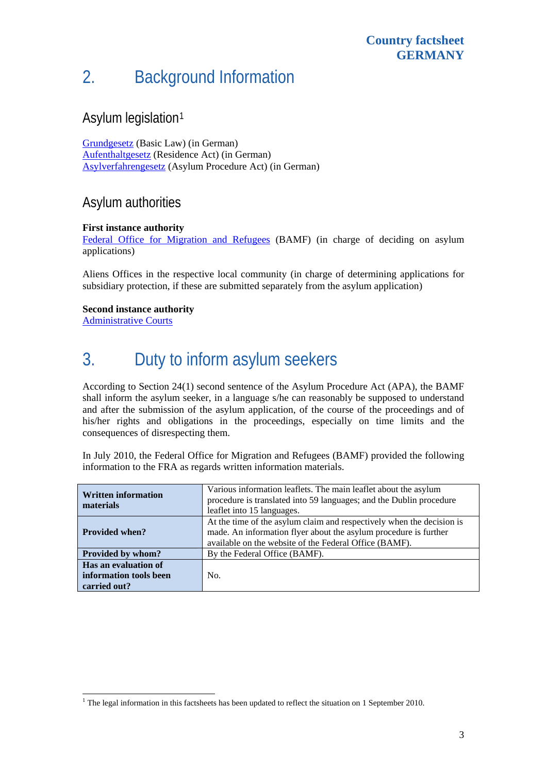# 2. Background Information

## Asylum legislation[1](#page-2-0)

[Grundgesetz](http://www.gesetze-im-internet.de/gg/index.html) (Basic Law) (in German) [Aufenthaltgesetz](http://www.gesetze-im-internet.de/aufenthg_2004/index.html) (Residence Act) (in German) [Asylverfahrengesetz](http://www.gesetze-im-internet.de/asylvfg_1992/index.html) (Asylum Procedure Act) (in German)

#### Asylum authorities

#### **First instance authority**

[Federal Office for Migration and Refugees](http://www.bamf.de/cln_092/DE/Startseite/home-node.html?__nnn=true) (BAMF) (in charge of deciding on asylum applications)

Aliens Offices in the respective local community (in charge of determining applications for subsidiary protection, if these are submitted separately from the asylum application)

#### **Second instance authority**

[Administrative Courts](http://www.verwaltungsgerichtsbarkeit.de/)

l

## 3. Duty to inform asylum seekers

According to Section 24(1) second sentence of the Asylum Procedure Act (APA), the BAMF shall inform the asylum seeker, in a language s/he can reasonably be supposed to understand and after the submission of the asylum application, of the course of the proceedings and of his/her rights and obligations in the proceedings, especially on time limits and the consequences of disrespecting them.

In July 2010, the Federal Office for Migration and Refugees (BAMF) provided the following information to the FRA as regards written information materials.

| <b>Written information</b><br>materials                        | Various information leaflets. The main leaflet about the asylum<br>procedure is translated into 59 languages; and the Dublin procedure<br>leaflet into 15 languages.                                |  |  |  |  |
|----------------------------------------------------------------|-----------------------------------------------------------------------------------------------------------------------------------------------------------------------------------------------------|--|--|--|--|
| <b>Provided when?</b>                                          | At the time of the asylum claim and respectively when the decision is<br>made. An information flyer about the asylum procedure is further<br>available on the website of the Federal Office (BAMF). |  |  |  |  |
| Provided by whom?                                              | By the Federal Office (BAMF).                                                                                                                                                                       |  |  |  |  |
| Has an evaluation of<br>information tools been<br>carried out? | No.                                                                                                                                                                                                 |  |  |  |  |

<span id="page-2-0"></span><sup>&</sup>lt;sup>1</sup> The legal information in this factsheets has been updated to reflect the situation on 1 September 2010.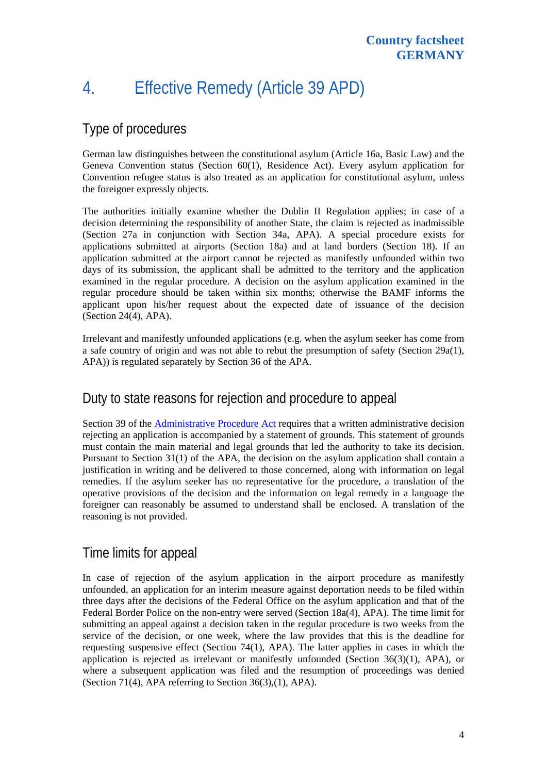# 4. Effective Remedy (Article 39 APD)

## Type of procedures

German law distinguishes between the constitutional asylum (Article 16a, Basic Law) and the Geneva Convention status (Section 60(1), Residence Act). Every asylum application for Convention refugee status is also treated as an application for constitutional asylum, unless the foreigner expressly objects.

The authorities initially examine whether the Dublin II Regulation applies; in case of a decision determining the responsibility of another State, the claim is rejected as inadmissible (Section 27a in conjunction with Section 34a, APA). A special procedure exists for applications submitted at airports (Section 18a) and at land borders (Section 18). If an application submitted at the airport cannot be rejected as manifestly unfounded within two days of its submission, the applicant shall be admitted to the territory and the application examined in the regular procedure. A decision on the asylum application examined in the regular procedure should be taken within six months; otherwise the BAMF informs the applicant upon his/her request about the expected date of issuance of the decision (Section 24(4), APA).

Irrelevant and manifestly unfounded applications (e.g. when the asylum seeker has come from a safe country of origin and was not able to rebut the presumption of safety (Section  $29a(1)$ , APA)) is regulated separately by Section 36 of the APA.

### Duty to state reasons for rejection and procedure to appeal

Section 39 of the **Administrative Procedure Act** requires that a written administrative decision rejecting an application is accompanied by a statement of grounds. This statement of grounds must contain the main material and legal grounds that led the authority to take its decision. Pursuant to Section 31(1) of the APA, the decision on the asylum application shall contain a justification in writing and be delivered to those concerned, along with information on legal remedies. If the asylum seeker has no representative for the procedure, a translation of the operative provisions of the decision and the information on legal remedy in a language the foreigner can reasonably be assumed to understand shall be enclosed. A translation of the reasoning is not provided.

### Time limits for appeal

In case of rejection of the asylum application in the airport procedure as manifestly unfounded, an application for an interim measure against deportation needs to be filed within three days after the decisions of the Federal Office on the asylum application and that of the Federal Border Police on the non-entry were served (Section 18a(4), APA). The time limit for submitting an appeal against a decision taken in the regular procedure is two weeks from the service of the decision, or one week, where the law provides that this is the deadline for requesting suspensive effect (Section 74(1), APA). The latter applies in cases in which the application is rejected as irrelevant or manifestly unfounded (Section 36(3)(1), APA), or where a subsequent application was filed and the resumption of proceedings was denied (Section 71(4), APA referring to Section 36(3),(1), APA).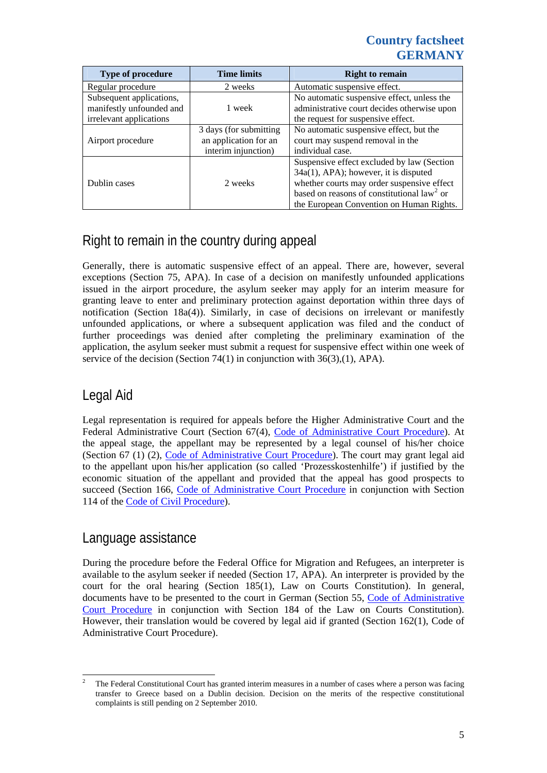#### **Country factsheet GERMANY**

| <b>Type of procedure</b>                                                        | <b>Time limits</b>                                                     | <b>Right to remain</b>                                                                                                                                                                                                        |  |  |
|---------------------------------------------------------------------------------|------------------------------------------------------------------------|-------------------------------------------------------------------------------------------------------------------------------------------------------------------------------------------------------------------------------|--|--|
| Regular procedure                                                               | 2 weeks                                                                | Automatic suspensive effect.                                                                                                                                                                                                  |  |  |
| Subsequent applications,<br>manifestly unfounded and<br>irrelevant applications | 1 week                                                                 | No automatic suspensive effect, unless the<br>administrative court decides otherwise upon<br>the request for suspensive effect.                                                                                               |  |  |
| Airport procedure                                                               | 3 days (for submitting<br>an application for an<br>interim injunction) | No automatic suspensive effect, but the<br>court may suspend removal in the<br>individual case.                                                                                                                               |  |  |
| Dublin cases                                                                    | 2 weeks                                                                | Suspensive effect excluded by law (Section<br>34a(1), APA); however, it is disputed<br>whether courts may order suspensive effect<br>based on reasons of constitutional $law2$ or<br>the European Convention on Human Rights. |  |  |

## Right to remain in the country during appeal

Generally, there is automatic suspensive effect of an appeal. There are, however, several exceptions (Section 75, APA). In case of a decision on manifestly unfounded applications issued in the airport procedure, the asylum seeker may apply for an interim measure for granting leave to enter and preliminary protection against deportation within three days of notification (Section 18a(4)). Similarly, in case of decisions on irrelevant or manifestly unfounded applications, or where a subsequent application was filed and the conduct of further proceedings was denied after completing the preliminary examination of the application, the asylum seeker must submit a request for suspensive effect within one week of service of the decision (Section 74(1) in conjunction with 36(3),(1), APA).

### Legal Aid

Legal representation is required for appeals before the Higher Administrative Court and the Federal Administrative Court (Section 67(4), [Code of Administrative Court Procedure\)](http://www.gesetze-im-internet.de/englisch_vwgo/englisch_vwgo.html). At the appeal stage, the appellant may be represented by a legal counsel of his/her choice (Section 67 (1) (2), [Code of Administrative Court Procedure\)](http://www.gesetze-im-internet.de/englisch_vwgo/englisch_vwgo.html). The court may grant legal aid to the appellant upon his/her application (so called 'Prozesskostenhilfe') if justified by the economic situation of the appellant and provided that the appeal has good prospects to succeed (Section 166, [Code of Administrative Court Procedure](http://www.gesetze-im-internet.de/englisch_vwgo/englisch_vwgo.html) in conjunction with Section 114 of the [Code of Civil Procedure](http://www.gesetze-im-internet.de/zpo/BJNR005330950.html#BJNR005330950BJNG000602301)).

#### Language assistance

During the procedure before the Federal Office for Migration and Refugees, an interpreter is available to the asylum seeker if needed (Section 17, APA). An interpreter is provided by the court for the oral hearing (Section 185(1), Law on Courts Constitution). In general, documents have to be presented to the court in German (Section 55, [Code of Administrative](http://www.gesetze-im-internet.de/englisch_vwgo/englisch_vwgo.html)  [Court Procedure](http://www.gesetze-im-internet.de/englisch_vwgo/englisch_vwgo.html) in conjunction with Section 184 of the Law on Courts Constitution). However, their translation would be covered by legal aid if granted (Section 162(1), Code of Administrative Court Procedure).

<span id="page-4-0"></span> $\frac{1}{2}$  The Federal Constitutional Court has granted interim measures in a number of cases where a person was facing transfer to Greece based on a Dublin decision. Decision on the merits of the respective constitutional complaints is still pending on 2 September 2010.